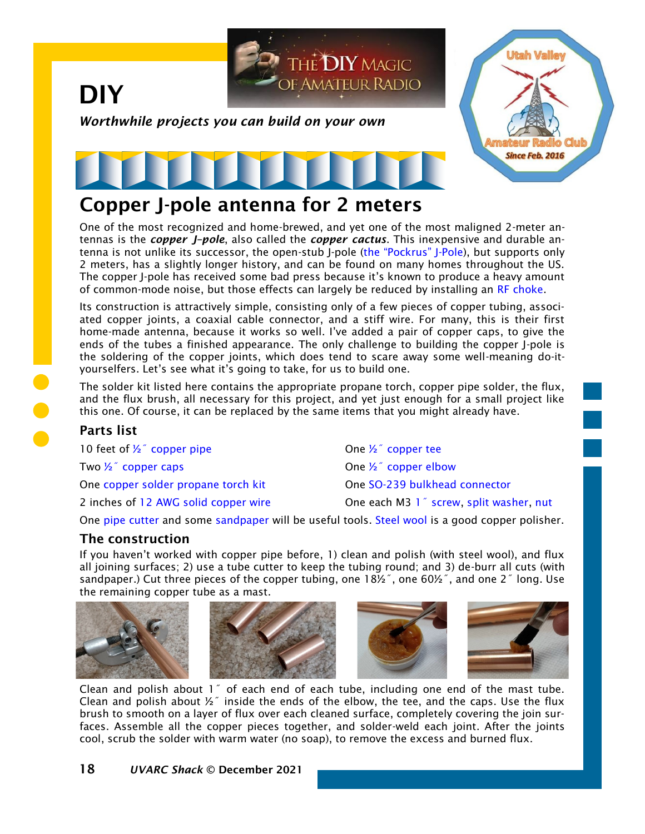

## Copper J-pole antenna for 2 meters

One of the most recognized and home-brewed, and yet one of the most maligned 2-meter antennas is the *copper J–pole*, also called the *copper cactus*. This inexpensive and durable antenna is not unlike its successor, the open-stub J-pole ([the "Pockrus" J](https://noji.com/hamradio/jpole.php)-Pole), but supports only 2 meters, has a slightly longer history, and can be found on many homes throughout the US. The copper J-pole has received some bad press because it's known to produce a heavy amount of common-mode noise, but those effects can largely be reduced by installing an [RF choke.](https://noji.com/hamradio/pdf-ppt/noji/Noji-Article-RF-Chokes.pdf)

Its construction is attractively simple, consisting only of a few pieces of copper tubing, associated copper joints, a coaxial cable connector, and a stiff wire. For many, this is their first home-made antenna, because it works so well. I've added a pair of copper caps, to give the ends of the tubes a finished appearance. The only challenge to building the copper J-pole is the soldering of the copper joints, which does tend to scare away some well-meaning do-ityourselfers. Let's see what it's going to take, for us to build one.

The solder kit listed here contains the appropriate propane torch, copper pipe solder, the flux, and the flux brush, all necessary for this project, and yet just enough for a small project like this one. Of course, it can be replaced by the same items that you might already have.

## Parts list

10 feet of  $\frac{1}{2}$  copper pipe  $\frac{1}{2}$  copper tee Two  $\frac{1}{2}$  copper caps  $\frac{1}{2}$  copper elbow One [copper solder propane torch kit](https://www.homedepot.com/p/Bernzomatic-Trigger-Start-Torch-Plumbing-Kit-WPK2301/304528930) One [SO-239 bulkhead connector](https://smile.amazon.com/BOOBRIE-Chassis-Coaxial-Connector-Adapter/dp/B07DC1JYZL/) 2 inches of [12 AWG solid copper wire](https://www.homedepot.com/p/Southwire-By-the-Foot-12-Gauge-Solid-SD-Bare-Copper-Grounding-Wire-10620390/204724854) **One each M3 1<sup>7</sup> screw, [split washer,](https://www.homedepot.com/p/Hillman-M3-Stainless-Steel-Split-Lock-Washer-50-Pack-45353/204801226) [nut](https://www.homedepot.com/p/Everbilt-M3-0-5-Zinc-Plated-Steel-Hex-Nuts-5-Pack-37568/202836254)** 

One [pipe cutter](https://www.homedepot.com/p/RIDGID-3-16-in-to-15-16-in-Model-104-Close-Quarters-Tubing-Cutter-32985/100021967) and some [sandpaper](https://www.homedepot.com/p/DIABLO-4-1-2-in-x-5-1-2-in-220-Grit-Clamp-On-Sanding-Sheet-6-Pack-DCS045220S06G/202830864) will be useful tools. [Steel wool](https://www.homedepot.com/p/Homax-Super-Fine-Grit-Steel-Wool-12-Pad-10120000-6/306606236) is a good copper polisher.

## The construction

If you haven't worked with copper pipe before, 1) clean and polish (with steel wool), and flux all joining surfaces; 2) use a tube cutter to keep the tubing round; and 3) de-burr all cuts (with sandpaper.) Cut three pieces of the copper tubing, one 18½˝, one 60½˝, and one 2˝ long. Use the remaining copper tube as a mast.









Clean and polish about 1˝ of each end of each tube, including one end of the mast tube. Clean and polish about  $\frac{1}{2}$  inside the ends of the elbow, the tee, and the caps. Use the flux brush to smooth on a layer of flux over each cleaned surface, completely covering the join surfaces. Assemble all the copper pieces together, and solder-weld each joint. After the joints cool, scrub the solder with warm water (no soap), to remove the excess and burned flux.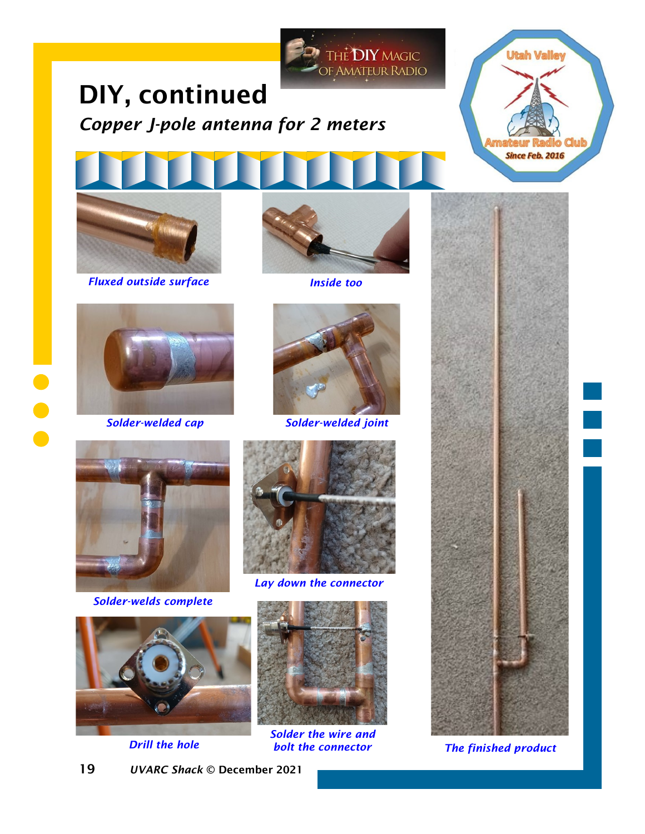

# DIY, continued *Copper J-pole antenna for 2 meters*



*Fluxed outside surface Inside too*







*Solder-welded cap Solder-welded joint*



*Solder-welds complete*









*Solder the wire and bolt the connector*



**Utah Valley** 

*The finished product*

19 *UVARC Shack* © December 2021